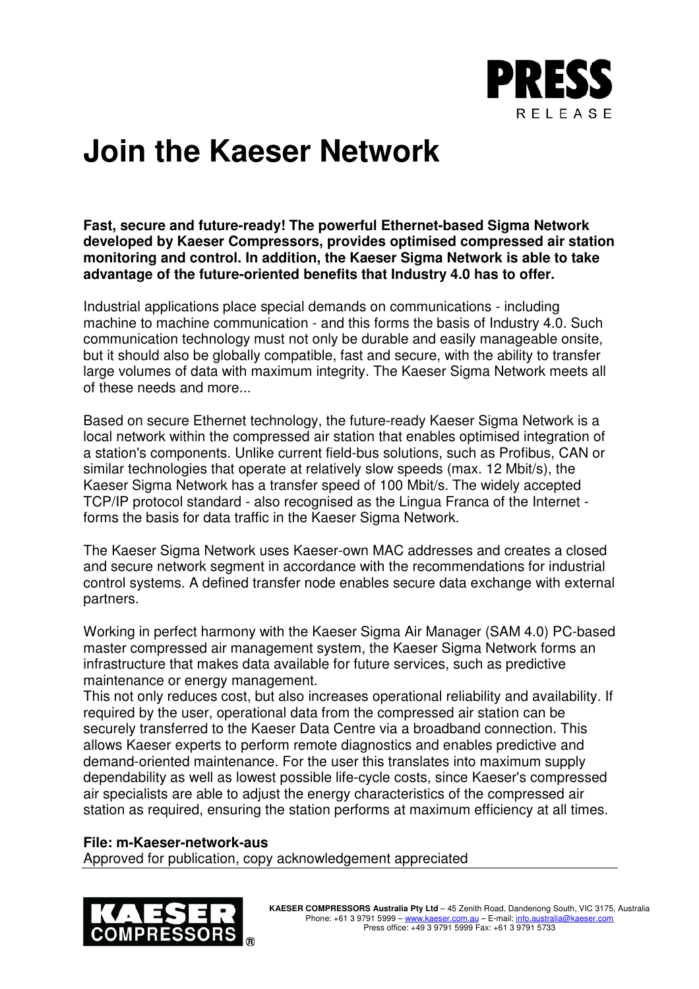

## **Join the Kaeser Network**

**Fast, secure and future-ready! The powerful Ethernet-based Sigma Network developed by Kaeser Compressors, provides optimised compressed air station monitoring and control. In addition, the Kaeser Sigma Network is able to take advantage of the future-oriented benefits that Industry 4.0 has to offer.**

Industrial applications place special demands on communications - including machine to machine communication - and this forms the basis of Industry 4.0. Such communication technology must not only be durable and easily manageable onsite, but it should also be globally compatible, fast and secure, with the ability to transfer large volumes of data with maximum integrity. The Kaeser Sigma Network meets all of these needs and more...

Based on secure Ethernet technology, the future-ready Kaeser Sigma Network is a local network within the compressed air station that enables optimised integration of a station's components. Unlike current field-bus solutions, such as Profibus, CAN or similar technologies that operate at relatively slow speeds (max. 12 Mbit/s), the Kaeser Sigma Network has a transfer speed of 100 Mbit/s. The widely accepted TCP/IP protocol standard - also recognised as the Lingua Franca of the Internet forms the basis for data traffic in the Kaeser Sigma Network.

The Kaeser Sigma Network uses Kaeser-own MAC addresses and creates a closed and secure network segment in accordance with the recommendations for industrial control systems. A defined transfer node enables secure data exchange with external partners.

Working in perfect harmony with the Kaeser Sigma Air Manager (SAM 4.0) PC-based master compressed air management system, the Kaeser Sigma Network forms an infrastructure that makes data available for future services, such as predictive maintenance or energy management.

This not only reduces cost, but also increases operational reliability and availability. If required by the user, operational data from the compressed air station can be securely transferred to the Kaeser Data Centre via a broadband connection. This allows Kaeser experts to perform remote diagnostics and enables predictive and demand-oriented maintenance. For the user this translates into maximum supply dependability as well as lowest possible life-cycle costs, since Kaeser's compressed air specialists are able to adjust the energy characteristics of the compressed air station as required, ensuring the station performs at maximum efficiency at all times.

## **File: m-Kaeser-network-aus**

Approved for publication, copy acknowledgement appreciated